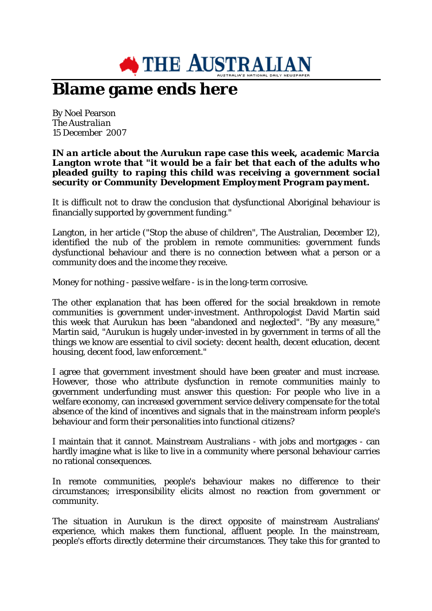

## **Blame game ends here**

By Noel Pearson *The Australian* 15 December 2007

## *IN an article about the Aurukun rape case this week, academic Marcia Langton wrote that "it would be a fair bet that each of the adults who pleaded guilty to raping this child was receiving a government social security or Community Development Employment Program payment.*

It is difficult not to draw the conclusion that dysfunctional Aboriginal behaviour is financially supported by government funding."

Langton, in her article ("Stop the abuse of children", The Australian, December 12), identified the nub of the problem in remote communities: government funds dysfunctional behaviour and there is no connection between what a person or a community does and the income they receive.

Money for nothing - passive welfare - is in the long-term corrosive.

The other explanation that has been offered for the social breakdown in remote communities is government under-investment. Anthropologist David Martin said this week that Aurukun has been "abandoned and neglected". "By any measure," Martin said, "Aurukun is hugely under-invested in by government in terms of all the things we know are essential to civil society: decent health, decent education, decent housing, decent food, law enforcement."

I agree that government investment should have been greater and must increase. However, those who attribute dysfunction in remote communities mainly to government underfunding must answer this question: For people who live in a welfare economy, can increased government service delivery compensate for the total absence of the kind of incentives and signals that in the mainstream inform people's behaviour and form their personalities into functional citizens?

I maintain that it cannot. Mainstream Australians - with jobs and mortgages - can hardly imagine what is like to live in a community where personal behaviour carries no rational consequences.

In remote communities, people's behaviour makes no difference to their circumstances; irresponsibility elicits almost no reaction from government or community.

The situation in Aurukun is the direct opposite of mainstream Australians' experience, which makes them functional, affluent people. In the mainstream, people's efforts directly determine their circumstances. They take this for granted to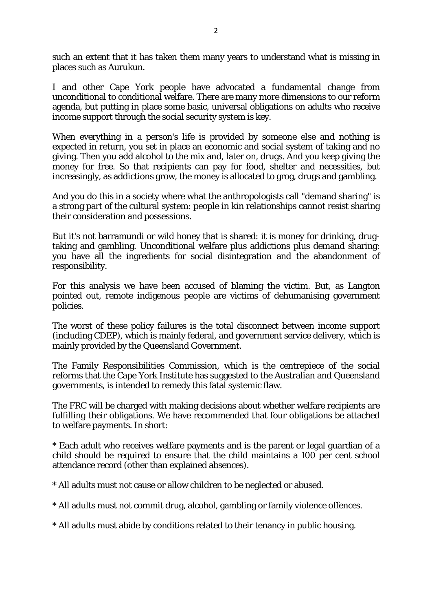such an extent that it has taken them many years to understand what is missing in places such as Aurukun.

I and other Cape York people have advocated a fundamental change from unconditional to conditional welfare. There are many more dimensions to our reform agenda, but putting in place some basic, universal obligations on adults who receive income support through the social security system is key.

When everything in a person's life is provided by someone else and nothing is expected in return, you set in place an economic and social system of taking and no giving. Then you add alcohol to the mix and, later on, drugs. And you keep giving the money for free. So that recipients can pay for food, shelter and necessities, but increasingly, as addictions grow, the money is allocated to grog, drugs and gambling.

And you do this in a society where what the anthropologists call "demand sharing" is a strong part of the cultural system: people in kin relationships cannot resist sharing their consideration and possessions.

But it's not barramundi or wild honey that is shared: it is money for drinking, drugtaking and gambling. Unconditional welfare plus addictions plus demand sharing: you have all the ingredients for social disintegration and the abandonment of responsibility.

For this analysis we have been accused of blaming the victim. But, as Langton pointed out, remote indigenous people are victims of dehumanising government policies.

The worst of these policy failures is the total disconnect between income support (including CDEP), which is mainly federal, and government service delivery, which is mainly provided by the Queensland Government.

The Family Responsibilities Commission, which is the centrepiece of the social reforms that the Cape York Institute has suggested to the Australian and Queensland governments, is intended to remedy this fatal systemic flaw.

The FRC will be charged with making decisions about whether welfare recipients are fulfilling their obligations. We have recommended that four obligations be attached to welfare payments. In short:

\* Each adult who receives welfare payments and is the parent or legal guardian of a child should be required to ensure that the child maintains a 100 per cent school attendance record (other than explained absences).

\* All adults must not cause or allow children to be neglected or abused.

\* All adults must not commit drug, alcohol, gambling or family violence offences.

\* All adults must abide by conditions related to their tenancy in public housing.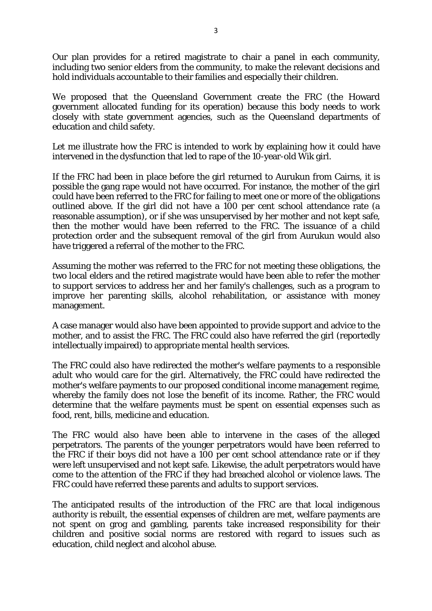Our plan provides for a retired magistrate to chair a panel in each community, including two senior elders from the community, to make the relevant decisions and hold individuals accountable to their families and especially their children.

We proposed that the Queensland Government create the FRC (the Howard government allocated funding for its operation) because this body needs to work closely with state government agencies, such as the Queensland departments of education and child safety.

Let me illustrate how the FRC is intended to work by explaining how it could have intervened in the dysfunction that led to rape of the 10-year-old Wik girl.

If the FRC had been in place before the girl returned to Aurukun from Cairns, it is possible the gang rape would not have occurred. For instance, the mother of the girl could have been referred to the FRC for failing to meet one or more of the obligations outlined above. If the girl did not have a 100 per cent school attendance rate (a reasonable assumption), or if she was unsupervised by her mother and not kept safe, then the mother would have been referred to the FRC. The issuance of a child protection order and the subsequent removal of the girl from Aurukun would also have triggered a referral of the mother to the FRC.

Assuming the mother was referred to the FRC for not meeting these obligations, the two local elders and the retired magistrate would have been able to refer the mother to support services to address her and her family's challenges, such as a program to improve her parenting skills, alcohol rehabilitation, or assistance with money management.

A case manager would also have been appointed to provide support and advice to the mother, and to assist the FRC. The FRC could also have referred the girl (reportedly intellectually impaired) to appropriate mental health services.

The FRC could also have redirected the mother's welfare payments to a responsible adult who would care for the girl. Alternatively, the FRC could have redirected the mother's welfare payments to our proposed conditional income management regime, whereby the family does not lose the benefit of its income. Rather, the FRC would determine that the welfare payments must be spent on essential expenses such as food, rent, bills, medicine and education.

The FRC would also have been able to intervene in the cases of the alleged perpetrators. The parents of the younger perpetrators would have been referred to the FRC if their boys did not have a 100 per cent school attendance rate or if they were left unsupervised and not kept safe. Likewise, the adult perpetrators would have come to the attention of the FRC if they had breached alcohol or violence laws. The FRC could have referred these parents and adults to support services.

The anticipated results of the introduction of the FRC are that local indigenous authority is rebuilt, the essential expenses of children are met, welfare payments are not spent on grog and gambling, parents take increased responsibility for their children and positive social norms are restored with regard to issues such as education, child neglect and alcohol abuse.